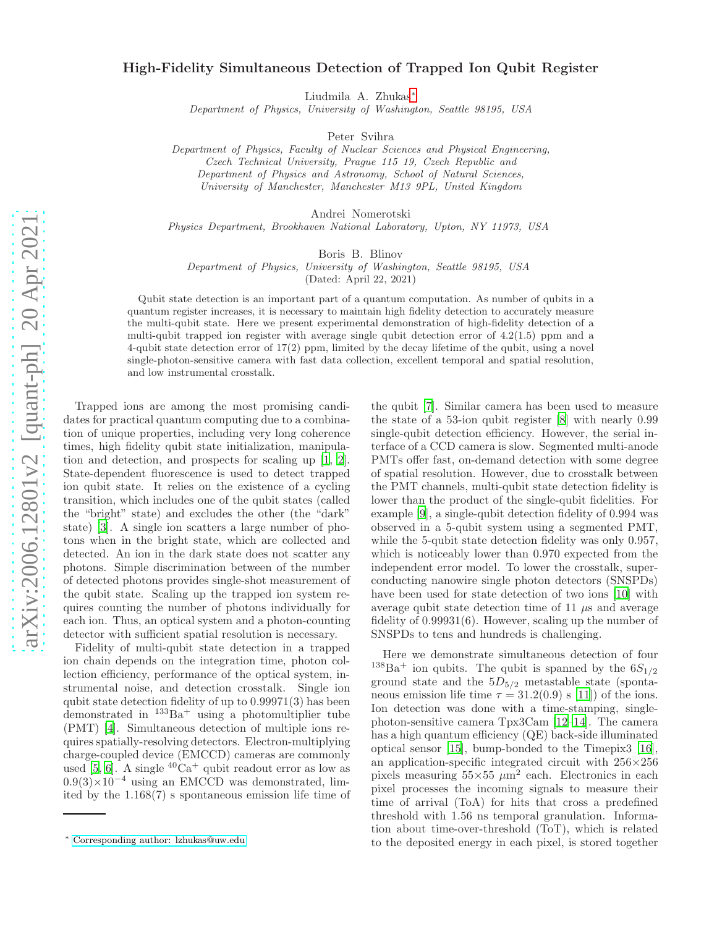## High-Fidelity Simultaneous Detection of Trapped Ion Qubit Register

Liudmila A. Zhukas[∗](#page-0-0)

Department of Physics, University of Washington, Seattle 98195, USA

Peter Svihra

Department of Physics, Faculty of Nuclear Sciences and Physical Engineering, Czech Technical University, Prague 115 19, Czech Republic and Department of Physics and Astronomy, School of Natural Sciences, University of Manchester, Manchester M13 9PL, United Kingdom

Andrei Nomerotski

Physics Department, Brookhaven National Laboratory, Upton, NY 11973, USA

Boris B. Blinov

Department of Physics, University of Washington, Seattle 98195, USA (Dated: April 22, 2021)

Qubit state detection is an important part of a quantum computation. As number of qubits in a quantum register increases, it is necessary to maintain high fidelity detection to accurately measure the multi-qubit state. Here we present experimental demonstration of high-fidelity detection of a multi-qubit trapped ion register with average single qubit detection error of 4.2(1.5) ppm and a

4-qubit state detection error of 17(2) ppm, limited by the decay lifetime of the qubit, using a novel single-photon-sensitive camera with fast data collection, excellent temporal and spatial resolution, and low instrumental crosstalk.

Trapped ions are among the most promising candidates for practical quantum computing due to a combination of unique properties, including very long coherence times, high fidelity qubit state initialization, manipulation and detection, and prospects for scaling up [\[1,](#page-4-0) [2\]](#page-4-1). State-dependent fluorescence is used to detect trapped ion qubit state. It relies on the existence of a cycling transition, which includes one of the qubit states (called the "bright" state) and excludes the other (the "dark" state) [\[3\]](#page-4-2). A single ion scatters a large number of photons when in the bright state, which are collected and detected. An ion in the dark state does not scatter any photons. Simple discrimination between of the number of detected photons provides single-shot measurement of the qubit state. Scaling up the trapped ion system requires counting the number of photons individually for each ion. Thus, an optical system and a photon-counting detector with sufficient spatial resolution is necessary.

Fidelity of multi-qubit state detection in a trapped ion chain depends on the integration time, photon collection efficiency, performance of the optical system, instrumental noise, and detection crosstalk. Single ion qubit state detection fidelity of up to 0.99971(3) has been demonstrated in  $133Ba<sup>+</sup>$  using a photomultiplier tube (PMT) [\[4\]](#page-4-3). Simultaneous detection of multiple ions requires spatially-resolving detectors. Electron-multiplying charge-coupled device (EMCCD) cameras are commonly used [\[5](#page-4-4), [6](#page-4-5)]. A single  ${}^{40}Ca^+$  qubit readout error as low as  $0.9(3)\times10^{-4}$  using an EMCCD was demonstrated, limited by the 1.168(7) s spontaneous emission life time of

the qubit [\[7\]](#page-4-6). Similar camera has been used to measure the state of a 53-ion qubit register [\[8](#page-4-7)] with nearly 0.99 single-qubit detection efficiency. However, the serial interface of a CCD camera is slow. Segmented multi-anode PMTs offer fast, on-demand detection with some degree of spatial resolution. However, due to crosstalk between the PMT channels, multi-qubit state detection fidelity is lower than the product of the single-qubit fidelities. For example [\[9](#page-4-8)], a single-qubit detection fidelity of 0.994 was observed in a 5-qubit system using a segmented PMT, while the 5-qubit state detection fidelity was only 0.957, which is noticeably lower than 0.970 expected from the independent error model. To lower the crosstalk, superconducting nanowire single photon detectors (SNSPDs) have been used for state detection of two ions [\[10](#page-4-9)] with average qubit state detection time of 11  $\mu$ s and average fidelity of 0.99931(6). However, scaling up the number of SNSPDs to tens and hundreds is challenging.

Here we demonstrate simultaneous detection of four <sup>138</sup>Ba<sup>+</sup> ion qubits. The qubit is spanned by the  $6S_{1/2}$ ground state and the  $5D_{5/2}$  metastable state (spontaneous emission life time  $\tau = 31.2(0.9)$  s [\[11\]](#page-4-10)) of the ions. Ion detection was done with a time-stamping, singlephoton-sensitive camera Tpx3Cam [\[12](#page-4-11)[–14\]](#page-4-12). The camera has a high quantum efficiency (QE) back-side illuminated optical sensor [\[15\]](#page-4-13), bump-bonded to the Timepix3 [\[16\]](#page-4-14), an application-specific integrated circuit with 256×256 pixels measuring  $55\times55 \ \mu m^2$  each. Electronics in each pixel processes the incoming signals to measure their time of arrival (ToA) for hits that cross a predefined threshold with 1.56 ns temporal granulation. Information about time-over-threshold (ToT), which is related to the deposited energy in each pixel, is stored together

<span id="page-0-0"></span><sup>∗</sup> [Corresponding author: lzhukas@uw.edu](mailto:Corresponding author: lzhukas@uw.edu)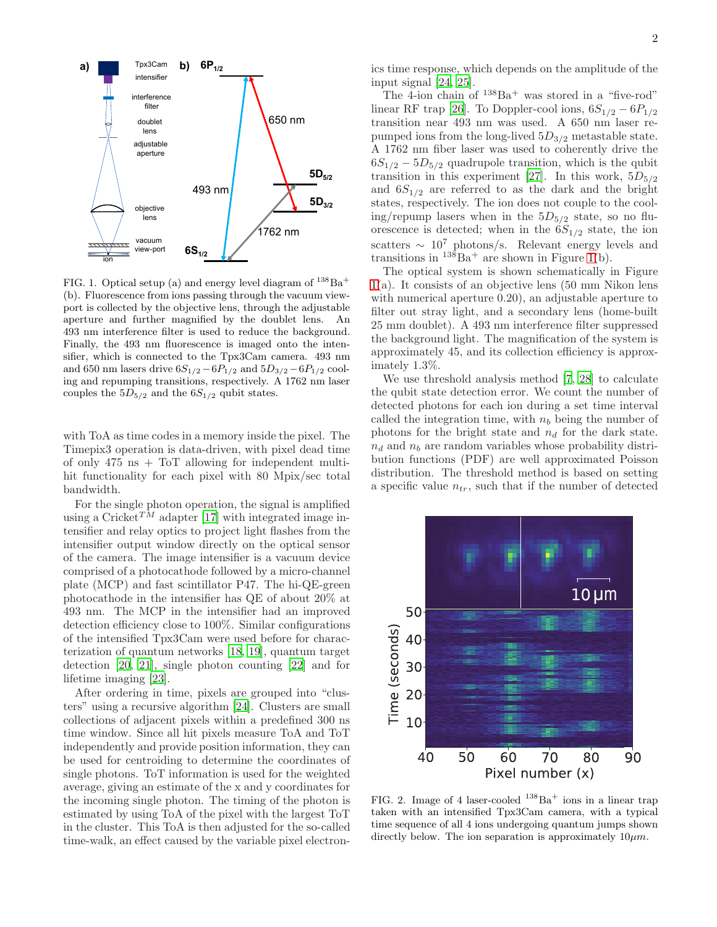

<span id="page-1-0"></span>FIG. 1. Optical setup (a) and energy level diagram of  $138Ba<sup>+</sup>$ (b). Fluorescence from ions passing through the vacuum viewport is collected by the objective lens, through the adjustable aperture and further magnified by the doublet lens. An 493 nm interference filter is used to reduce the background. Finally, the 493 nm fluorescence is imaged onto the intensifier, which is connected to the Tpx3Cam camera. 493 nm and 650 nm lasers drive  $6S_{1/2} - 6P_{1/2}$  and  $5D_{3/2} - 6P_{1/2}$  cooling and repumping transitions, respectively. A 1762 nm laser couples the  $5D_{5/2}$  and the  $6S_{1/2}$  qubit states.

with ToA as time codes in a memory inside the pixel. The Timepix3 operation is data-driven, with pixel dead time of only 475 ns + ToT allowing for independent multihit functionality for each pixel with 80 Mpix/sec total bandwidth.

For the single photon operation, the signal is amplified using a Cricket<sup>TM</sup> adapter [\[17\]](#page-4-15) with integrated image intensifier and relay optics to project light flashes from the intensifier output window directly on the optical sensor of the camera. The image intensifier is a vacuum device comprised of a photocathode followed by a micro-channel plate (MCP) and fast scintillator P47. The hi-QE-green photocathode in the intensifier has QE of about 20% at 493 nm. The MCP in the intensifier had an improved detection efficiency close to 100%. Similar configurations of the intensified Tpx3Cam were used before for characterization of quantum networks [\[18,](#page-4-16) [19](#page-4-17)], quantum target detection [\[20](#page-4-18), [21\]](#page-4-19), single photon counting [\[22\]](#page-4-20) and for lifetime imaging [\[23](#page-4-21)].

After ordering in time, pixels are grouped into "clusters" using a recursive algorithm [\[24\]](#page-4-22). Clusters are small collections of adjacent pixels within a predefined 300 ns time window. Since all hit pixels measure ToA and ToT independently and provide position information, they can be used for centroiding to determine the coordinates of single photons. ToT information is used for the weighted average, giving an estimate of the x and y coordinates for the incoming single photon. The timing of the photon is estimated by using ToA of the pixel with the largest ToT in the cluster. This ToA is then adjusted for the so-called time-walk, an effect caused by the variable pixel electronics time response, which depends on the amplitude of the input signal [\[24,](#page-4-22) [25\]](#page-4-23).

The  $\overline{4}$ -ion chain of  $138\text{Ba}^+$  was stored in a "five-rod" linear RF trap [\[26\]](#page-4-24). To Doppler-cool ions,  $6S_{1/2} - 6P_{1/2}$ transition near 493 nm was used. A 650 nm laser repumped ions from the long-lived  $5D_{3/2}$  metastable state. A 1762 nm fiber laser was used to coherently drive the  $6S_{1/2} - 5D_{5/2}$  quadrupole transition, which is the qubit transition in this experiment [\[27\]](#page-4-25). In this work,  $5D_{5/2}$ and  $6S_{1/2}$  are referred to as the dark and the bright states, respectively. The ion does not couple to the cooling/repump lasers when in the  $5D_{5/2}$  state, so no fluorescence is detected; when in the  $6S_{1/2}$  state, the ion scatters  $\sim 10^7$  photons/s. Relevant energy levels and transitions in  $13\overline{8}Ba^{+}$  are shown in Figure [1\(](#page-1-0)b).

The optical system is shown schematically in Figure [1\(](#page-1-0)a). It consists of an objective lens (50 mm Nikon lens with numerical aperture 0.20), an adjustable aperture to filter out stray light, and a secondary lens (home-built 25 mm doublet). A 493 nm interference filter suppressed the background light. The magnification of the system is approximately 45, and its collection efficiency is approximately 1.3%.

We use threshold analysis method [\[7,](#page-4-6) [28\]](#page-4-26) to calculate the qubit state detection error. We count the number of detected photons for each ion during a set time interval called the integration time, with  $n_b$  being the number of photons for the bright state and  $n_d$  for the dark state.  $n_d$  and  $n_b$  are random variables whose probability distribution functions (PDF) are well approximated Poisson distribution. The threshold method is based on setting a specific value  $n_{tr}$ , such that if the number of detected



<span id="page-1-1"></span>FIG. 2. Image of 4 laser-cooled  $138\text{Ba}^+$  ions in a linear trap taken with an intensified Tpx3Cam camera, with a typical time sequence of all 4 ions undergoing quantum jumps shown directly below. The ion separation is approximately  $10 \mu m$ .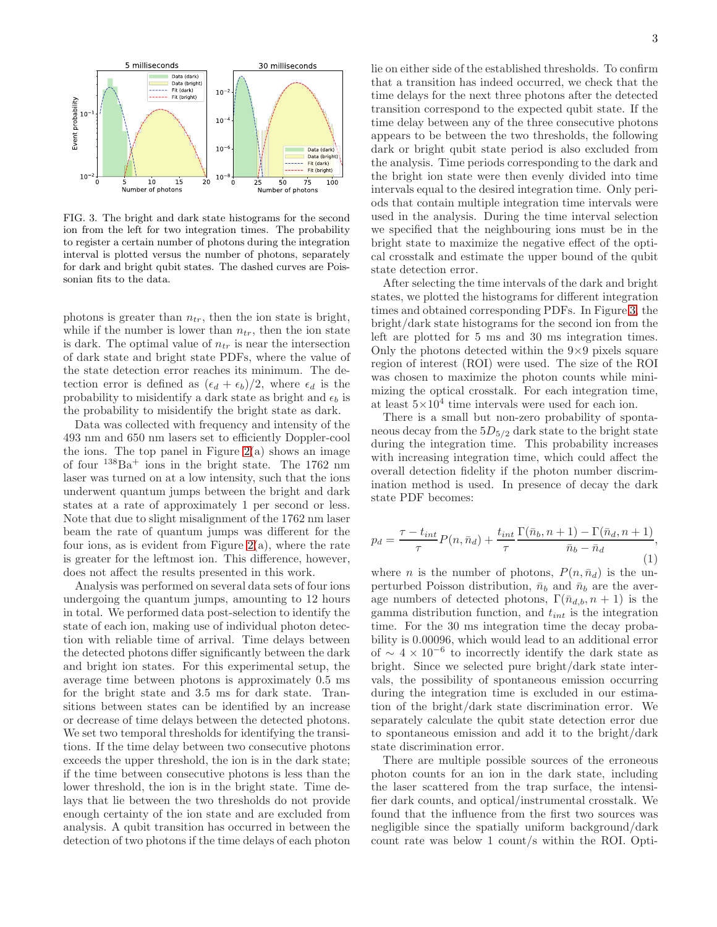

<span id="page-2-0"></span>FIG. 3. The bright and dark state histograms for the second ion from the left for two integration times. The probability to register a certain number of photons during the integration interval is plotted versus the number of photons, separately for dark and bright qubit states. The dashed curves are Poissonian fits to the data.

photons is greater than  $n_{tr}$ , then the ion state is bright, while if the number is lower than  $n_{tr}$ , then the ion state is dark. The optimal value of  $n_{tr}$  is near the intersection of dark state and bright state PDFs, where the value of the state detection error reaches its minimum. The detection error is defined as  $(\epsilon_d + \epsilon_b)/2$ , where  $\epsilon_d$  is the probability to misidentify a dark state as bright and  $\epsilon_b$  is the probability to misidentify the bright state as dark.

Data was collected with frequency and intensity of the 493 nm and 650 nm lasers set to efficiently Doppler-cool the ions. The top panel in Figure  $2(a)$  $2(a)$  shows an image of four  $138Ba<sup>+</sup>$  ions in the bright state. The 1762 nm laser was turned on at a low intensity, such that the ions underwent quantum jumps between the bright and dark states at a rate of approximately 1 per second or less. Note that due to slight misalignment of the 1762 nm laser beam the rate of quantum jumps was different for the four ions, as is evident from Figure  $2(a)$  $2(a)$ , where the rate is greater for the leftmost ion. This difference, however, does not affect the results presented in this work.

Analysis was performed on several data sets of four ions undergoing the quantum jumps, amounting to 12 hours in total. We performed data post-selection to identify the state of each ion, making use of individual photon detection with reliable time of arrival. Time delays between the detected photons differ significantly between the dark and bright ion states. For this experimental setup, the average time between photons is approximately 0.5 ms for the bright state and 3.5 ms for dark state. Transitions between states can be identified by an increase or decrease of time delays between the detected photons. We set two temporal thresholds for identifying the transitions. If the time delay between two consecutive photons exceeds the upper threshold, the ion is in the dark state; if the time between consecutive photons is less than the lower threshold, the ion is in the bright state. Time delays that lie between the two thresholds do not provide enough certainty of the ion state and are excluded from analysis. A qubit transition has occurred in between the detection of two photons if the time delays of each photon lie on either side of the established thresholds. To confirm that a transition has indeed occurred, we check that the time delays for the next three photons after the detected transition correspond to the expected qubit state. If the time delay between any of the three consecutive photons appears to be between the two thresholds, the following dark or bright qubit state period is also excluded from the analysis. Time periods corresponding to the dark and the bright ion state were then evenly divided into time intervals equal to the desired integration time. Only periods that contain multiple integration time intervals were used in the analysis. During the time interval selection we specified that the neighbouring ions must be in the bright state to maximize the negative effect of the optical crosstalk and estimate the upper bound of the qubit state detection error.

After selecting the time intervals of the dark and bright states, we plotted the histograms for different integration times and obtained corresponding PDFs. In Figure [3,](#page-2-0) the bright/dark state histograms for the second ion from the left are plotted for 5 ms and 30 ms integration times. Only the photons detected within the  $9\times9$  pixels square region of interest (ROI) were used. The size of the ROI was chosen to maximize the photon counts while minimizing the optical crosstalk. For each integration time, at least  $5 \times 10^4$  time intervals were used for each ion.

There is a small but non-zero probability of spontaneous decay from the  $5D_{5/2}$  dark state to the bright state during the integration time. This probability increases with increasing integration time, which could affect the overall detection fidelity if the photon number discrimination method is used. In presence of decay the dark state PDF becomes:

$$
p_d = \frac{\tau - t_{int}}{\tau} P(n, \bar{n}_d) + \frac{t_{int}}{\tau} \frac{\Gamma(\bar{n}_b, n+1) - \Gamma(\bar{n}_d, n+1)}{\bar{n}_b - \bar{n}_d},
$$
\n(1)

where *n* is the number of photons,  $P(n, \bar{n}_d)$  is the unperturbed Poisson distribution,  $\bar{n}_b$  and  $\bar{n}_b$  are the average numbers of detected photons,  $\Gamma(\bar{n}_{d,b}, n+1)$  is the gamma distribution function, and  $t_{int}$  is the integration time. For the 30 ms integration time the decay probability is 0.00096, which would lead to an additional error of  $\sim 4 \times 10^{-6}$  to incorrectly identify the dark state as bright. Since we selected pure bright/dark state intervals, the possibility of spontaneous emission occurring during the integration time is excluded in our estimation of the bright/dark state discrimination error. We separately calculate the qubit state detection error due to spontaneous emission and add it to the bright/dark state discrimination error.

There are multiple possible sources of the erroneous photon counts for an ion in the dark state, including the laser scattered from the trap surface, the intensifier dark counts, and optical/instrumental crosstalk. We found that the influence from the first two sources was negligible since the spatially uniform background/dark count rate was below 1 count/s within the ROI. Opti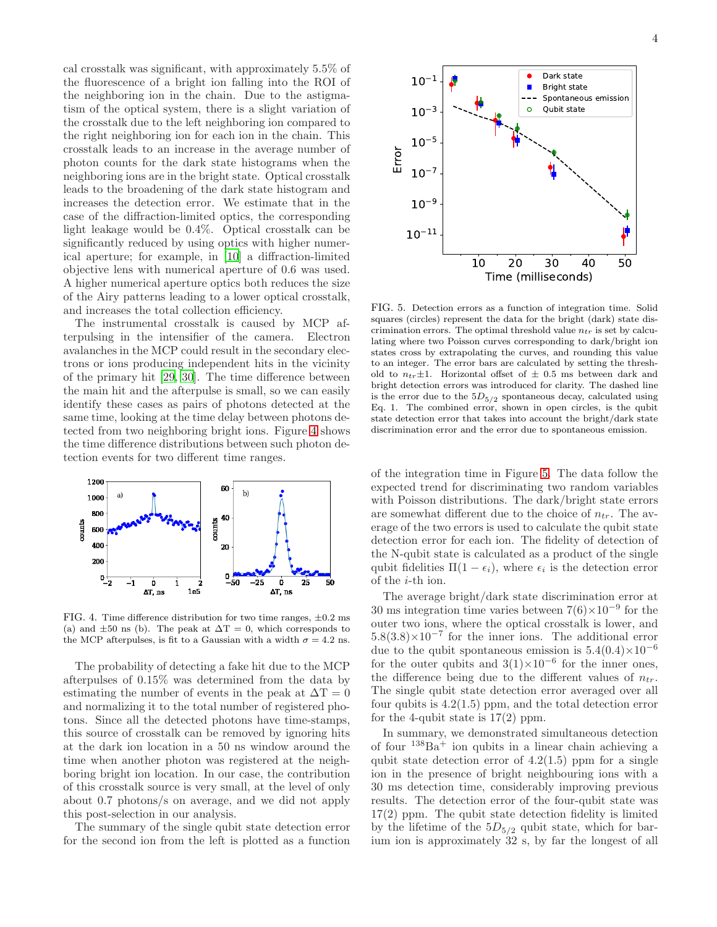cal crosstalk was significant, with approximately 5.5% of the fluorescence of a bright ion falling into the ROI of the neighboring ion in the chain. Due to the astigmatism of the optical system, there is a slight variation of the crosstalk due to the left neighboring ion compared to the right neighboring ion for each ion in the chain. This crosstalk leads to an increase in the average number of photon counts for the dark state histograms when the neighboring ions are in the bright state. Optical crosstalk leads to the broadening of the dark state histogram and increases the detection error. We estimate that in the case of the diffraction-limited optics, the corresponding light leakage would be 0.4%. Optical crosstalk can be significantly reduced by using optics with higher numerical aperture; for example, in [\[10\]](#page-4-9) a diffraction-limited objective lens with numerical aperture of 0.6 was used. A higher numerical aperture optics both reduces the size of the Airy patterns leading to a lower optical crosstalk, and increases the total collection efficiency.

The instrumental crosstalk is caused by MCP afterpulsing in the intensifier of the camera. Electron avalanches in the MCP could result in the secondary electrons or ions producing independent hits in the vicinity of the primary hit [\[29](#page-4-27), [30](#page-4-28)]. The time difference between the main hit and the afterpulse is small, so we can easily identify these cases as pairs of photons detected at the same time, looking at the time delay between photons detected from two neighboring bright ions. Figure [4](#page-3-0) shows the time difference distributions between such photon detection events for two different time ranges.



<span id="page-3-0"></span>FIG. 4. Time difference distribution for two time ranges,  $\pm 0.2$  ms (a) and  $\pm 50$  ns (b). The peak at  $\Delta T = 0$ , which corresponds to the MCP afterpulses, is fit to a Gaussian with a width  $\sigma = 4.2$  ns.

The probability of detecting a fake hit due to the MCP afterpulses of 0.15% was determined from the data by estimating the number of events in the peak at  $\Delta T = 0$ and normalizing it to the total number of registered photons. Since all the detected photons have time-stamps, this source of crosstalk can be removed by ignoring hits at the dark ion location in a 50 ns window around the time when another photon was registered at the neighboring bright ion location. In our case, the contribution of this crosstalk source is very small, at the level of only about 0.7 photons/s on average, and we did not apply this post-selection in our analysis.

The summary of the single qubit state detection error for the second ion from the left is plotted as a function



<span id="page-3-1"></span>FIG. 5. Detection errors as a function of integration time. Solid squares (circles) represent the data for the bright (dark) state discrimination errors. The optimal threshold value  $n_{tr}$  is set by calculating where two Poisson curves corresponding to dark/bright ion states cross by extrapolating the curves, and rounding this value to an integer. The error bars are calculated by setting the threshold to  $n_{tr} \pm 1$ . Horizontal offset of  $\pm$  0.5 ms between dark and bright detection errors was introduced for clarity. The dashed line is the error due to the  $5D_{5/2}$  spontaneous decay, calculated using Eq. 1. The combined error, shown in open circles, is the qubit state detection error that takes into account the bright/dark state discrimination error and the error due to spontaneous emission.

of the integration time in Figure [5.](#page-3-1) The data follow the expected trend for discriminating two random variables with Poisson distributions. The dark/bright state errors are somewhat different due to the choice of  $n_{tr}$ . The average of the two errors is used to calculate the qubit state detection error for each ion. The fidelity of detection of the N-qubit state is calculated as a product of the single qubit fidelities  $\Pi(1 - \epsilon_i)$ , where  $\epsilon_i$  is the detection error of the i-th ion.

The average bright/dark state discrimination error at 30 ms integration time varies between  $7(6)\times10^{-9}$  for the outer two ions, where the optical crosstalk is lower, and  $5.8(3.8)\times10^{-7}$  for the inner ions. The additional error due to the qubit spontaneous emission is  $5.4(0.4)\times10^{-6}$ for the outer qubits and  $3(1)\times10^{-6}$  for the inner ones, the difference being due to the different values of  $n_{tr}$ . The single qubit state detection error averaged over all four qubits is  $4.2(1.5)$  ppm, and the total detection error for the 4-qubit state is  $17(2)$  ppm.

In summary, we demonstrated simultaneous detection of four  $138Ba<sup>+</sup>$  ion qubits in a linear chain achieving a qubit state detection error of  $4.2(1.5)$  ppm for a single ion in the presence of bright neighbouring ions with a 30 ms detection time, considerably improving previous results. The detection error of the four-qubit state was 17(2) ppm. The qubit state detection fidelity is limited by the lifetime of the  $5D_{5/2}$  qubit state, which for barium ion is approximately 32 s, by far the longest of all